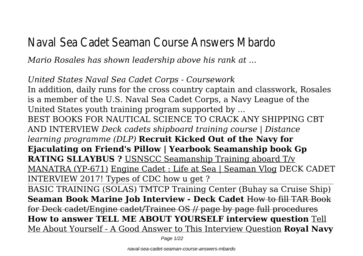## Naval Sea Cadet Seaman Course Answers Mbardo

*Mario Rosales has shown leadership above his rank at ...*

*United States Naval Sea Cadet Corps - Coursework* In addition, daily runs for the cross country captain and classwork, Rosales is a member of the U.S. Naval Sea Cadet Corps, a Navy League of the United States youth training program supported by ... BEST BOOKS FOR NAUTICAL SCIENCE TO CRACK ANY SHIPPING CBT AND INTERVIEW *Deck cadets shipboard training course | Distance learning programme (DLP)* **Recruit Kicked Out of the Navy for Ejaculating on Friend's Pillow | Yearbook Seamanship book Gp RATING SLLAYBUS ?** USNSCC Seamanship Training aboard T/v MANATRA (YP-671) Engine Cadet : Life at Sea | Seaman Vlog DECK CADET INTERVIEW 2017! Types of CDC how u get ? BASIC TRAINING (SOLAS) TMTCP Training Center (Buhay sa Cruise Ship) **Seaman Book Marine Job Interview - Deck Cadet** How to fill TAR Book for Deck cadet/Engine cadet/Trainee OS // page by page full procedures **How to answer TELL ME ABOUT YOURSELF interview question** Tell Me About Yourself - A Good Answer to This Interview Question **Royal Navy**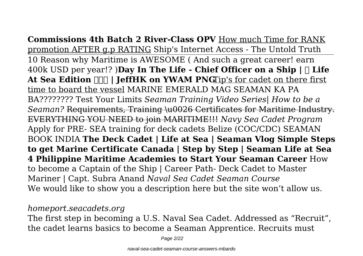# **Commissions 4th Batch 2 River-Class OPV** How much Time for RANK promotion AFTER g.p RATING Ship's Internet Access - The Untold Truth

10 Reason why Maritime is AWESOME ( And such a great career! earn 400k USD per year!? **)Day In The Life - Chief Officer on a Ship**  $\vert \vert$  Life At Sea Edition  $\Box$  | JeffHK on YWAM PNG**Tip's for cadet on there first** time to board the vessel MARINE EMERALD MAG SEAMAN KA PA BA???????? Test Your Limits *Seaman Training Video Series| How to be a Seaman?* Requirements, Training \u0026 Certificates for Maritime Industry. EVERYTHING YOU NEED to join MARITIME!!! *Navy Sea Cadet Program* Apply for PRE- SEA training for deck cadets Belize (COC/CDC) SEAMAN BOOK INDIA **The Deck Cadet | Life at Sea | Seaman Vlog Simple Steps to get Marine Certificate Canada | Step by Step | Seaman Life at Sea 4 Philippine Maritime Academies to Start Your Seaman Career** How to become a Captain of the Ship | Career Path- Deck Cadet to Master Mariner | Capt. Subra Anand *Naval Sea Cadet Seaman Course* We would like to show you a description here but the site won't allow us.

#### *homeport.seacadets.org*

The first step in becoming a U.S. Naval Sea Cadet. Addressed as "Recruit", the cadet learns basics to become a Seaman Apprentice. Recruits must

Page 2/22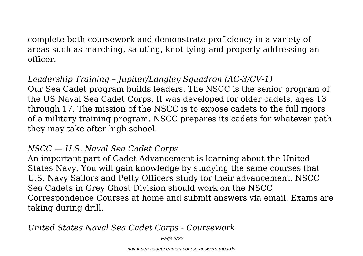complete both coursework and demonstrate proficiency in a variety of areas such as marching, saluting, knot tying and properly addressing an officer.

*Leadership Training – Jupiter/Langley Squadron (AC-3/CV-1)* Our Sea Cadet program builds leaders. The NSCC is the senior program of the US Naval Sea Cadet Corps. It was developed for older cadets, ages 13 through 17. The mission of the NSCC is to expose cadets to the full rigors of a military training program. NSCC prepares its cadets for whatever path they may take after high school.

#### *NSCC — U.S. Naval Sea Cadet Corps*

An important part of Cadet Advancement is learning about the United States Navy. You will gain knowledge by studying the same courses that U.S. Navy Sailors and Petty Officers study for their advancement. NSCC Sea Cadets in Grey Ghost Division should work on the NSCC Correspondence Courses at home and submit answers via email. Exams are taking during drill.

*United States Naval Sea Cadet Corps - Coursework*

Page 3/22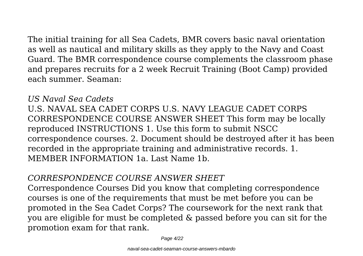The initial training for all Sea Cadets, BMR covers basic naval orientation as well as nautical and military skills as they apply to the Navy and Coast Guard. The BMR correspondence course complements the classroom phase and prepares recruits for a 2 week Recruit Training (Boot Camp) provided each summer. Seaman:

#### *US Naval Sea Cadets*

U.S. NAVAL SEA CADET CORPS U.S. NAVY LEAGUE CADET CORPS CORRESPONDENCE COURSE ANSWER SHEET This form may be locally reproduced INSTRUCTIONS 1. Use this form to submit NSCC correspondence courses. 2. Document should be destroyed after it has been recorded in the appropriate training and administrative records. 1. MEMBER INFORMATION 1a. Last Name 1b.

#### *CORRESPONDENCE COURSE ANSWER SHEET*

Correspondence Courses Did you know that completing correspondence courses is one of the requirements that must be met before you can be promoted in the Sea Cadet Corps? The coursework for the next rank that you are eligible for must be completed & passed before you can sit for the promotion exam for that rank.

Page 4/22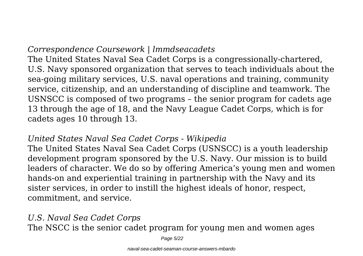#### *Correspondence Coursework | lmmdseacadets*

The United States Naval Sea Cadet Corps is a congressionally-chartered, U.S. Navy sponsored organization that serves to teach individuals about the sea-going military services, U.S. naval operations and training, community service, citizenship, and an understanding of discipline and teamwork. The USNSCC is composed of two programs – the senior program for cadets age 13 through the age of 18, and the Navy League Cadet Corps, which is for cadets ages 10 through 13.

#### *United States Naval Sea Cadet Corps - Wikipedia*

The United States Naval Sea Cadet Corps (USNSCC) is a youth leadership development program sponsored by the U.S. Navy. Our mission is to build leaders of character. We do so by offering America's young men and women hands-on and experiential training in partnership with the Navy and its sister services, in order to instill the highest ideals of honor, respect, commitment, and service.

#### *U.S. Naval Sea Cadet Corps*

The NSCC is the senior cadet program for young men and women ages

Page 5/22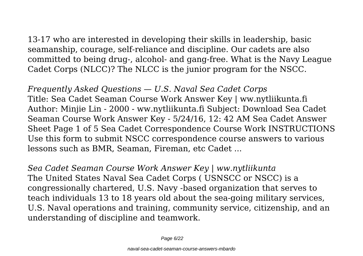13-17 who are interested in developing their skills in leadership, basic seamanship, courage, self-reliance and discipline. Our cadets are also committed to being drug-, alcohol- and gang-free. What is the Navy League Cadet Corps (NLCC)? The NLCC is the junior program for the NSCC.

*Frequently Asked Questions — U.S. Naval Sea Cadet Corps* Title: Sea Cadet Seaman Course Work Answer Key | ww.nytliikunta.fi Author: Minjie Lin - 2000 - ww.nytliikunta.fi Subject: Download Sea Cadet Seaman Course Work Answer Key - 5/24/16, 12: 42 AM Sea Cadet Answer Sheet Page 1 of 5 Sea Cadet Correspondence Course Work INSTRUCTIONS Use this form to submit NSCC correspondence course answers to various lessons such as BMR, Seaman, Fireman, etc Cadet ...

*Sea Cadet Seaman Course Work Answer Key | ww.nytliikunta* The United States Naval Sea Cadet Corps ( USNSCC or NSCC) is a congressionally chartered, U.S. Navy -based organization that serves to teach individuals 13 to 18 years old about the sea-going military services, U.S. Naval operations and training, community service, citizenship, and an understanding of discipline and teamwork.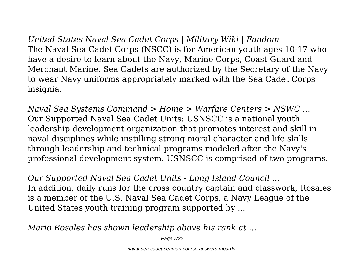*United States Naval Sea Cadet Corps | Military Wiki | Fandom* The Naval Sea Cadet Corps (NSCC) is for American youth ages 10-17 who have a desire to learn about the Navy, Marine Corps, Coast Guard and Merchant Marine. Sea Cadets are authorized by the Secretary of the Navy to wear Navy uniforms appropriately marked with the Sea Cadet Corps insignia.

*Naval Sea Systems Command > Home > Warfare Centers > NSWC ...* Our Supported Naval Sea Cadet Units: USNSCC is a national youth leadership development organization that promotes interest and skill in naval disciplines while instilling strong moral character and life skills through leadership and technical programs modeled after the Navy's professional development system. USNSCC is comprised of two programs.

*Our Supported Naval Sea Cadet Units - Long Island Council ...* In addition, daily runs for the cross country captain and classwork, Rosales is a member of the U.S. Naval Sea Cadet Corps, a Navy League of the United States youth training program supported by ...

*Mario Rosales has shown leadership above his rank at ...*

Page 7/22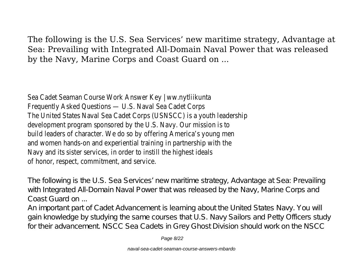The following is the U.S. Sea Services' new maritime strategy, Advantage at Sea: Prevailing with Integrated All-Domain Naval Power that was released by the Navy, Marine Corps and Coast Guard on ...

Sea Cadet Seaman Course Work Answer Key | ww.nytliikunta Frequently Asked Questions — U.S. Naval Sea Cadet Corps The United States Naval Sea Cadet Corps (USNSCC) is a youth leadership development program sponsored by the U.S. Navy. Our mission is to build leaders of character. We do so by offering America's young men and women hands-on and experiential training in partnership with the Navy and its sister services, in order to instill the highest ideals of honor, respect, commitment, and service.

The following is the U.S. Sea Services' new maritime strategy, Advantage at Sea: Prevailing with Integrated All-Domain Naval Power that was released by the Navy, Marine Corps and Coast Guard on ...

An important part of Cadet Advancement is learning about the United States Navy. You will gain knowledge by studying the same courses that U.S. Navy Sailors and Petty Officers study for their advancement. NSCC Sea Cadets in Grey Ghost Division should work on the NSCC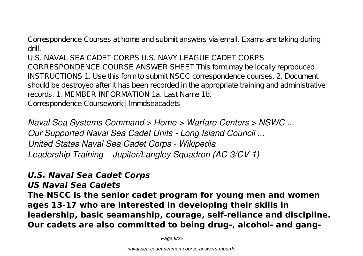Correspondence Courses at home and submit answers via email. Exams are taking during drill.

U.S. NAVAL SEA CADET CORPS U.S. NAVY LEAGUE CADET CORPS CORRESPONDENCE COURSE ANSWER SHEET This form may be locally reproduced INSTRUCTIONS 1. Use this form to submit NSCC correspondence courses. 2. Document should be destroyed after it has been recorded in the appropriate training and administrative records. 1. MEMBER INFORMATION 1a. Last Name 1b.

*Correspondence Coursework | lmmdseacadets*

*Naval Sea Systems Command > Home > Warfare Centers > NSWC ... Our Supported Naval Sea Cadet Units - Long Island Council ... United States Naval Sea Cadet Corps - Wikipedia Leadership Training – Jupiter/Langley Squadron (AC-3/CV-1)*

### *U.S. Naval Sea Cadet Corps*

*US Naval Sea Cadets*

**The NSCC is the senior cadet program for young men and women ages 13-17 who are interested in developing their skills in leadership, basic seamanship, courage, self-reliance and discipline. Our cadets are also committed to being drug-, alcohol- and gang-**

Page 9/22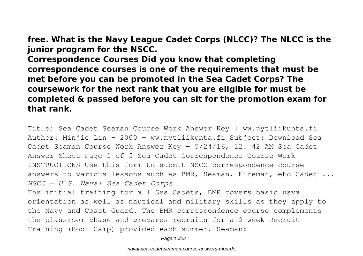**free. What is the Navy League Cadet Corps (NLCC)? The NLCC is the junior program for the NSCC.**

**Correspondence Courses Did you know that completing correspondence courses is one of the requirements that must be met before you can be promoted in the Sea Cadet Corps? The coursework for the next rank that you are eligible for must be completed & passed before you can sit for the promotion exam for that rank.**

Title: Sea Cadet Seaman Course Work Answer Key | ww.nytliikunta.fi Author: Minjie Lin - 2000 - ww.nytliikunta.fi Subject: Download Sea Cadet Seaman Course Work Answer Key - 5/24/16, 12: 42 AM Sea Cadet Answer Sheet Page 1 of 5 Sea Cadet Correspondence Course Work INSTRUCTIONS Use this form to submit NSCC correspondence course answers to various lessons such as BMR, Seaman, Fireman, etc Cadet ... *NSCC — U.S. Naval Sea Cadet Corps* The initial training for all Sea Cadets, BMR covers basic naval orientation as well as nautical and military skills as they apply to the Navy and Coast Guard. The BMR correspondence course complements the classroom phase and prepares recruits for a 2 week Recruit Training (Boot Camp) provided each summer. Seaman:

Page 10/22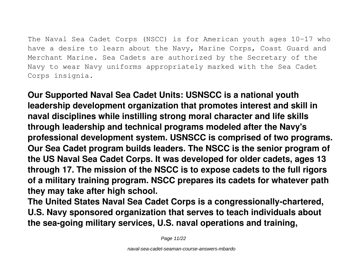The Naval Sea Cadet Corps (NSCC) is for American youth ages 10-17 who have a desire to learn about the Navy, Marine Corps, Coast Guard and Merchant Marine. Sea Cadets are authorized by the Secretary of the Navy to wear Navy uniforms appropriately marked with the Sea Cadet Corps insignia.

**Our Supported Naval Sea Cadet Units: USNSCC is a national youth leadership development organization that promotes interest and skill in naval disciplines while instilling strong moral character and life skills through leadership and technical programs modeled after the Navy's professional development system. USNSCC is comprised of two programs. Our Sea Cadet program builds leaders. The NSCC is the senior program of the US Naval Sea Cadet Corps. It was developed for older cadets, ages 13 through 17. The mission of the NSCC is to expose cadets to the full rigors of a military training program. NSCC prepares its cadets for whatever path they may take after high school.**

**The United States Naval Sea Cadet Corps is a congressionally-chartered, U.S. Navy sponsored organization that serves to teach individuals about the sea-going military services, U.S. naval operations and training,**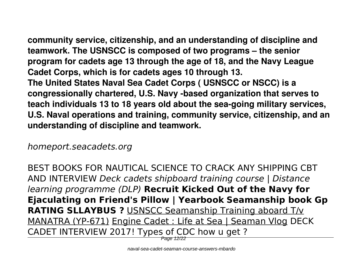**community service, citizenship, and an understanding of discipline and teamwork. The USNSCC is composed of two programs – the senior program for cadets age 13 through the age of 18, and the Navy League Cadet Corps, which is for cadets ages 10 through 13. The United States Naval Sea Cadet Corps ( USNSCC or NSCC) is a congressionally chartered, U.S. Navy -based organization that serves to teach individuals 13 to 18 years old about the sea-going military services, U.S. Naval operations and training, community service, citizenship, and an understanding of discipline and teamwork.**

*homeport.seacadets.org*

BEST BOOKS FOR NAUTICAL SCIENCE TO CRACK ANY SHIPPING CBT AND INTERVIEW *Deck cadets shipboard training course | Distance learning programme (DLP)* **Recruit Kicked Out of the Navy for Ejaculating on Friend's Pillow | Yearbook Seamanship book Gp RATING SLLAYBUS ?** USNSCC Seamanship Training aboard T/v MANATRA (YP-671) Engine Cadet : Life at Sea | Seaman Vlog DECK CADET INTERVIEW 2017! Types of CDC how u get ?

Page 12/22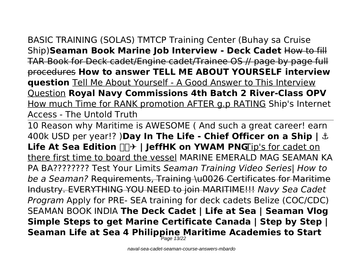BASIC TRAINING (SOLAS) TMTCP Training Center (Buhay sa Cruise Ship)**Seaman Book Marine Job Interview - Deck Cadet** How to fill TAR Book for Deck cadet/Engine cadet/Trainee OS // page by page full procedures **How to answer TELL ME ABOUT YOURSELF interview question** Tell Me About Yourself - A Good Answer to This Interview Question **Royal Navy Commissions 4th Batch 2 River-Class OPV** How much Time for RANK promotion AFTER g.p RATING Ship's Internet Access - The Untold Truth

10 Reason why Maritime is AWESOME ( And such a great career! earn 400k USD per year!? )**Day In The Life - Chief Officer on a Ship | ⚓ Life At Sea Edition**  $\Box \rightarrow \Box$  **| JeffHK on YWAM PNGTip's for cadet on** there first time to board the vessel MARINE EMERALD MAG SEAMAN KA PA BA???????? Test Your Limits *Seaman Training Video Series| How to be a Seaman?* Requirements, Training \u0026 Certificates for Maritime Industry. EVERYTHING YOU NEED to join MARITIME!!! *Navy Sea Cadet Program* Apply for PRE- SEA training for deck cadets Belize (COC/CDC) SEAMAN BOOK INDIA **The Deck Cadet | Life at Sea | Seaman Vlog Simple Steps to get Marine Certificate Canada | Step by Step | Seaman Life at Sea 4 Philippine Maritime Academies to Start** Page 13/22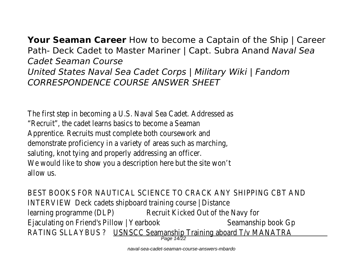**Your Seaman Career** How to become a Captain of the Ship | Career Path- Deck Cadet to Master Mariner | Capt. Subra Anand *Naval Sea Cadet Seaman Course United States Naval Sea Cadet Corps | Military Wiki | Fandom CORRESPONDENCE COURSE ANSWER SHEET*

The first step in becoming a U.S. Naval Sea Cadet. Addressed as "Recruit", the cadet learns basics to become a Seaman Apprentice. Recruits must complete both coursework and demonstrate proficiency in a variety of areas such as marching, saluting, knot tying and properly addressing an officer. We would like to show you a description here but the site won't allow us.

BEST BOOKS FOR NAUTICAL SCIENCE TO CRACK ANY SHIPPING CBT AND INTERVIEW Deck cadets shipboard training course | Distance learning programme (DLP) Recruit Kicked Out of the Navy for Ejaculating on Friend's Pillow | Yearbook Seamanship book Gp RATING SLLAYBUS? <u>USNSCC Seamanship Training aboard T/v MANATRA</u><br>————————————————————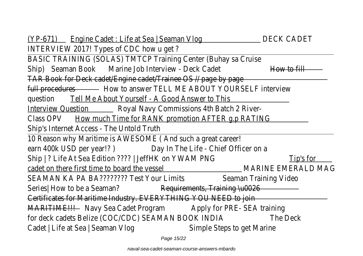Page 15/22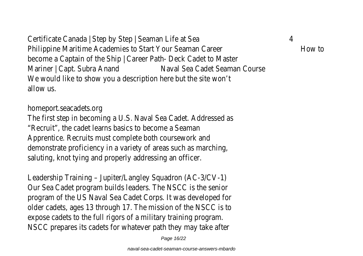Certificate Canada | Step by Step | Seaman Life at Sea 4 Philippine Maritime Academies to Start Your Seaman Career **How to How to** become a Captain of the Ship | Career Path- Deck Cadet to Master Mariner | Capt. Subra Anand Naval Sea Cadet Seaman Course We would like to show you a description here but the site won't allow us.

homeport.seacadets.org The first step in becoming a U.S. Naval Sea Cadet. Addressed as "Recruit", the cadet learns basics to become a Seaman Apprentice. Recruits must complete both coursework and demonstrate proficiency in a variety of areas such as marching, saluting, knot tying and properly addressing an officer.

Leadership Training – Jupiter/Langley Squadron (AC-3/CV-1) Our Sea Cadet program builds leaders. The NSCC is the senior program of the US Naval Sea Cadet Corps. It was developed for older cadets, ages 13 through 17. The mission of the NSCC is to expose cadets to the full rigors of a military training program. NSCC prepares its cadets for whatever path they may take after

Page 16/22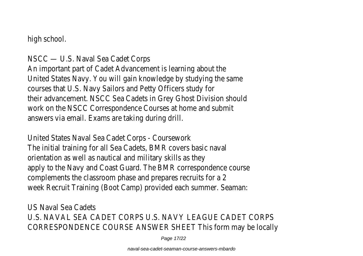high school.

NSCC — U.S. Naval Sea Cadet Corps An important part of Cadet Advancement is learning about the United States Navy. You will gain knowledge by studying the same courses that U.S. Navy Sailors and Petty Officers study for their advancement. NSCC Sea Cadets in Grey Ghost Division should work on the NSCC Correspondence Courses at home and submit answers via email. Exams are taking during drill.

United States Naval Sea Cadet Corps - Coursework The initial training for all Sea Cadets, BMR covers basic naval orientation as well as nautical and military skills as they apply to the Navy and Coast Guard. The BMR correspondence course complements the classroom phase and prepares recruits for a 2 week Recruit Training (Boot Camp) provided each summer. Seaman:

US Naval Sea Cadets U.S. NAVAL SEA CADET CORPS U.S. NAVY LEAGUE CADET CORPS CORRESPONDENCE COURSE ANSWER SHEET This form may be locally

Page 17/22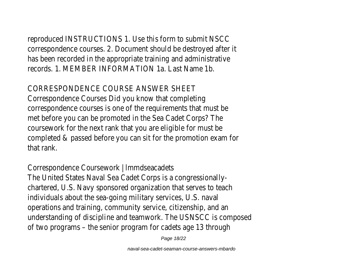reproduced INSTRUCTIONS 1. Use this form to submit NSCC correspondence courses. 2. Document should be destroyed after it has been recorded in the appropriate training and administrative records. 1. MEMBER INFORMATION 1a. Last Name 1b.

#### CORRESPONDENCE COURSE ANSWER SHEET

Correspondence Courses Did you know that completing correspondence courses is one of the requirements that must be met before you can be promoted in the Sea Cadet Corps? The coursework for the next rank that you are eligible for must be completed & passed before you can sit for the promotion exam for that rank.

#### Correspondence Coursework | lmmdseacadets

The United States Naval Sea Cadet Corps is a congressionallychartered, U.S. Navy sponsored organization that serves to teach individuals about the sea-going military services, U.S. naval operations and training, community service, citizenship, and an understanding of discipline and teamwork. The USNSCC is composed of two programs – the senior program for cadets age 13 through

Page 18/22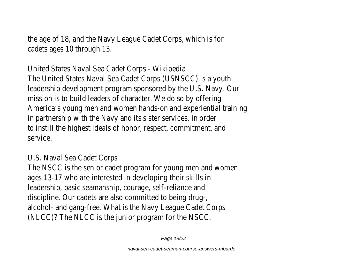the age of 18, and the Navy League Cadet Corps, which is for cadets ages 10 through 13.

United States Naval Sea Cadet Corps - Wikipedia The United States Naval Sea Cadet Corps (USNSCC) is a youth leadership development program sponsored by the U.S. Navy. Our mission is to build leaders of character. We do so by offering America's young men and women hands-on and experiential training in partnership with the Navy and its sister services, in order to instill the highest ideals of honor, respect, commitment, and service.

U.S. Naval Sea Cadet Corps

The NSCC is the senior cadet program for young men and women ages 13-17 who are interested in developing their skills in leadership, basic seamanship, courage, self-reliance and discipline. Our cadets are also committed to being drug-, alcohol- and gang-free. What is the Navy League Cadet Corps (NLCC)? The NLCC is the junior program for the NSCC.

Page 19/22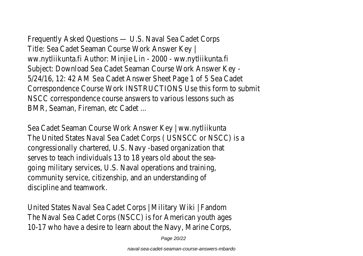Frequently Asked Questions — U.S. Naval Sea Cadet Corps Title: Sea Cadet Seaman Course Work Answer Key | ww.nytliikunta.fi Author: Minjie Lin - 2000 - ww.nytliikunta.fi Subject: Download Sea Cadet Seaman Course Work Answer Key - 5/24/16, 12: 42 AM Sea Cadet Answer Sheet Page 1 of 5 Sea Cadet Correspondence Course Work INSTRUCTIONS Use this form to submit NSCC correspondence course answers to various lessons such as BMR, Seaman, Fireman, etc Cadet ...

Sea Cadet Seaman Course Work Answer Key | ww.nytliikunta The United States Naval Sea Cadet Corps ( USNSCC or NSCC) is a congressionally chartered, U.S. Navy -based organization that serves to teach individuals 13 to 18 years old about the seagoing military services, U.S. Naval operations and training, community service, citizenship, and an understanding of discipline and teamwork.

United States Naval Sea Cadet Corps | Military Wiki | Fandom The Naval Sea Cadet Corps (NSCC) is for American youth ages 10-17 who have a desire to learn about the Navy, Marine Corps,

Page 20/22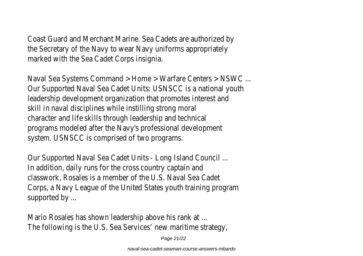Coast Guard and Merchant Marine. Sea Cadets are authorized by the Secretary of the Navy to wear Navy uniforms appropriately marked with the Sea Cadet Corps insignia.

Naval Sea Systems Command > Home > Warfare Centers > NSWC ... Our Supported Naval Sea Cadet Units: USNSCC is a national youth leadership development organization that promotes interest and skill in naval disciplines while instilling strong moral character and life skills through leadership and technical programs modeled after the Navy's professional development system. USNSCC is comprised of two programs.

Our Supported Naval Sea Cadet Units - Long Island Council ... In addition, daily runs for the cross country captain and classwork, Rosales is a member of the U.S. Naval Sea Cadet Corps, a Navy League of the United States youth training program supported by ...

Mario Rosales has shown leadership above his rank at ... The following is the U.S. Sea Services' new maritime strategy,

Page 21/22